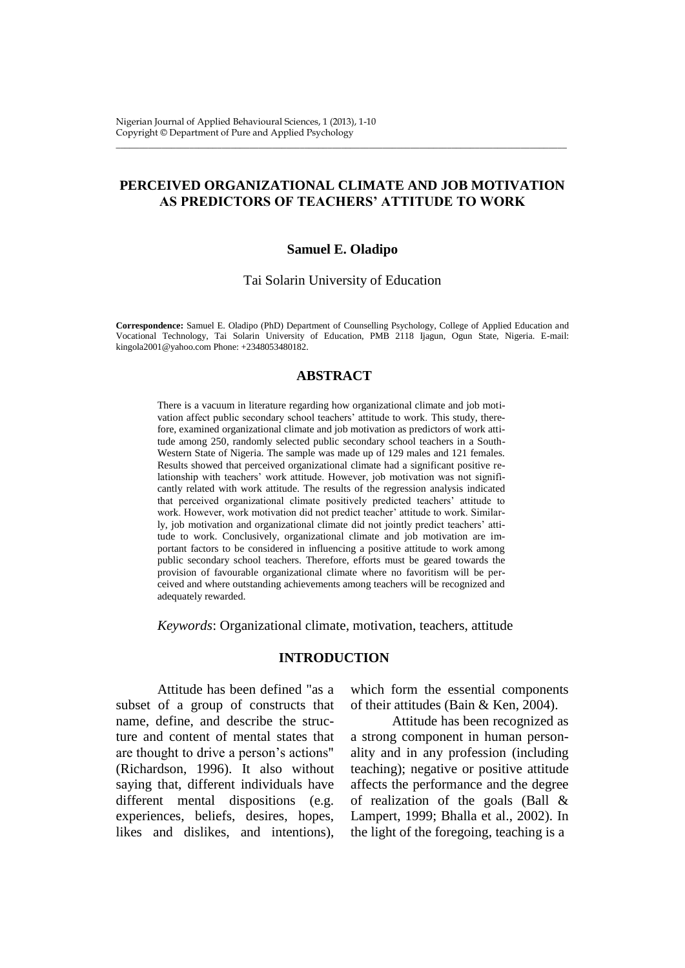# **PERCEIVED ORGANIZATIONAL CLIMATE AND JOB MOTIVATION AS PREDICTORS OF TEACHERS' ATTITUDE TO WORK**

\_\_\_\_\_\_\_\_\_\_\_\_\_\_\_\_\_\_\_\_\_\_\_\_\_\_\_\_\_\_\_\_\_\_\_\_\_\_\_\_\_\_\_\_\_\_\_\_\_\_\_\_\_\_\_\_\_\_\_\_\_\_\_\_\_\_\_\_\_\_\_\_\_\_\_\_\_\_\_\_\_\_\_\_\_\_\_\_\_\_\_\_\_\_\_\_\_\_

#### **Samuel E. Oladipo**

Tai Solarin University of Education

**Correspondence:** Samuel E. Oladipo (PhD) Department of Counselling Psychology, College of Applied Education and Vocational Technology, Tai Solarin University of Education, PMB 2118 Ijagun, Ogun State, Nigeria. E-mail: kingola2001@yahoo.com Phone: +2348053480182.

#### **ABSTRACT**

There is a vacuum in literature regarding how organizational climate and job motivation affect public secondary school teachers' attitude to work. This study, therefore, examined organizational climate and job motivation as predictors of work attitude among 250, randomly selected public secondary school teachers in a South-Western State of Nigeria. The sample was made up of 129 males and 121 females. Results showed that perceived organizational climate had a significant positive relationship with teachers' work attitude. However, job motivation was not significantly related with work attitude. The results of the regression analysis indicated that perceived organizational climate positively predicted teachers' attitude to work. However, work motivation did not predict teacher' attitude to work. Similarly, job motivation and organizational climate did not jointly predict teachers' attitude to work. Conclusively, organizational climate and job motivation are important factors to be considered in influencing a positive attitude to work among public secondary school teachers. Therefore, efforts must be geared towards the provision of favourable organizational climate where no favoritism will be perceived and where outstanding achievements among teachers will be recognized and adequately rewarded.

*Keywords*: Organizational climate, motivation, teachers, attitude

## **INTRODUCTION**

Attitude has been defined "as a subset of a group of constructs that name, define, and describe the structure and content of mental states that are thought to drive a person's actions" (Richardson, 1996). It also without saying that, different individuals have different mental dispositions (e.g. experiences, beliefs, desires, hopes, likes and dislikes, and intentions),

which form the essential components of their attitudes (Bain & Ken, 2004).

Attitude has been recognized as a strong component in human personality and in any profession (including teaching); negative or positive attitude affects the performance and the degree of realization of the goals (Ball & Lampert, 1999; Bhalla et al., 2002). In the light of the foregoing, teaching is a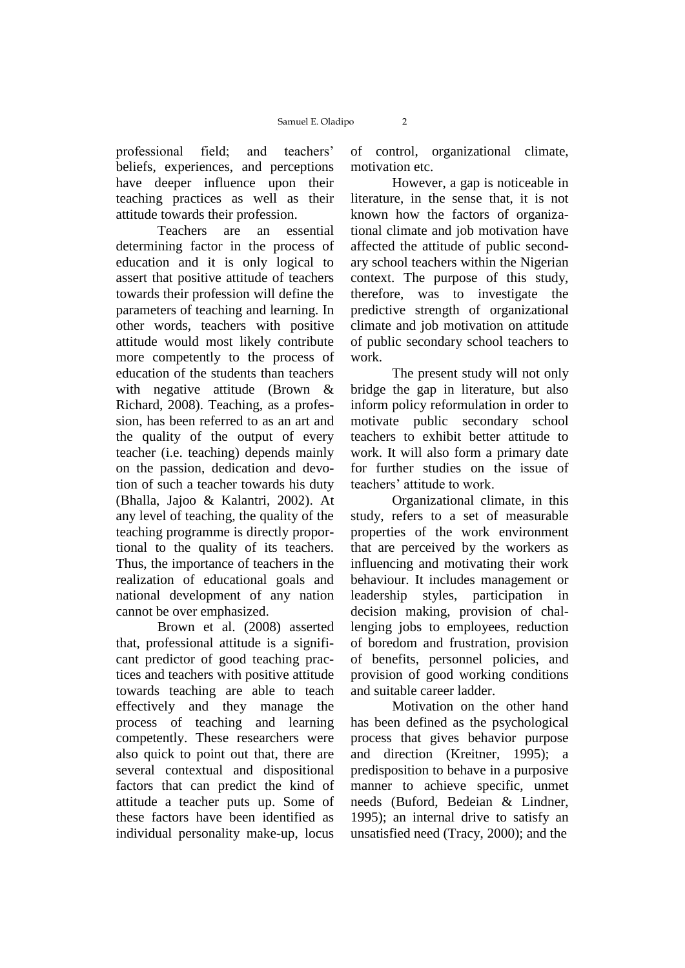professional field; and teachers' beliefs, experiences, and perceptions have deeper influence upon their teaching practices as well as their attitude towards their profession.

Teachers are an essential determining factor in the process of education and it is only logical to assert that positive attitude of teachers towards their profession will define the parameters of teaching and learning. In other words, teachers with positive attitude would most likely contribute more competently to the process of education of the students than teachers with negative attitude (Brown & Richard, 2008). Teaching, as a profession, has been referred to as an art and the quality of the output of every teacher (i.e. teaching) depends mainly on the passion, dedication and devotion of such a teacher towards his duty (Bhalla, Jajoo & Kalantri, 2002). At any level of teaching, the quality of the teaching programme is directly proportional to the quality of its teachers. Thus, the importance of teachers in the realization of educational goals and national development of any nation cannot be over emphasized.

Brown et al. (2008) asserted that, professional attitude is a significant predictor of good teaching practices and teachers with positive attitude towards teaching are able to teach effectively and they manage the process of teaching and learning competently. These researchers were also quick to point out that, there are several contextual and dispositional factors that can predict the kind of attitude a teacher puts up. Some of these factors have been identified as individual personality make-up, locus

of control, organizational climate, motivation etc.

However, a gap is noticeable in literature, in the sense that, it is not known how the factors of organizational climate and job motivation have affected the attitude of public secondary school teachers within the Nigerian context. The purpose of this study, therefore, was to investigate the predictive strength of organizational climate and job motivation on attitude of public secondary school teachers to work.

The present study will not only bridge the gap in literature, but also inform policy reformulation in order to motivate public secondary school teachers to exhibit better attitude to work. It will also form a primary date for further studies on the issue of teachers' attitude to work.

Organizational climate, in this study, refers to a set of measurable properties of the work environment that are perceived by the workers as influencing and motivating their work behaviour. It includes management or leadership styles, participation in decision making, provision of challenging jobs to employees, reduction of boredom and frustration, provision of benefits, personnel policies, and provision of good working conditions and suitable career ladder.

Motivation on the other hand has been defined as the psychological process that gives behavior purpose and direction (Kreitner, 1995); a predisposition to behave in a purposive manner to achieve specific, unmet needs (Buford, Bedeian & Lindner, 1995); an internal drive to satisfy an unsatisfied need (Tracy, 2000); and the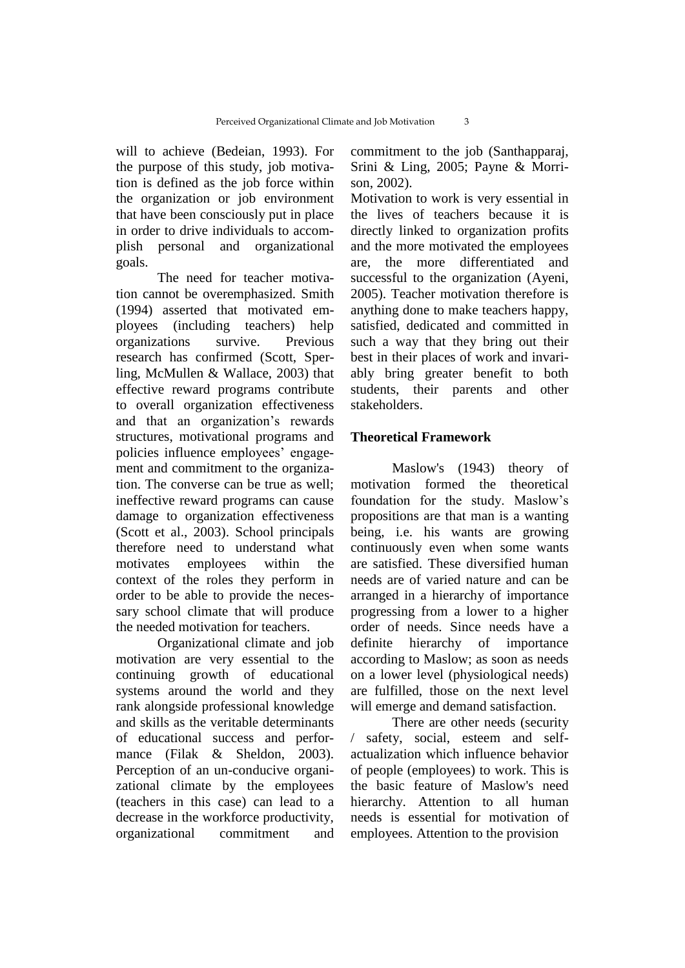will to achieve (Bedeian, 1993). For the purpose of this study, job motivation is defined as the job force within the organization or job environment that have been consciously put in place in order to drive individuals to accomplish personal and organizational goals.

The need for teacher motivation cannot be overemphasized. Smith (1994) asserted that motivated employees (including teachers) help organizations survive. Previous research has confirmed (Scott, Sperling, McMullen & Wallace, 2003) that effective reward programs contribute to overall organization effectiveness and that an organization's rewards structures, motivational programs and policies influence employees' engagement and commitment to the organization. The converse can be true as well; ineffective reward programs can cause damage to organization effectiveness (Scott et al., 2003). School principals therefore need to understand what motivates employees within the context of the roles they perform in order to be able to provide the necessary school climate that will produce the needed motivation for teachers.

Organizational climate and job motivation are very essential to the continuing growth of educational systems around the world and they rank alongside professional knowledge and skills as the veritable determinants of educational success and performance (Filak & Sheldon, 2003). Perception of an un-conducive organizational climate by the employees (teachers in this case) can lead to a decrease in the workforce productivity, organizational commitment and

commitment to the job (Santhapparaj, Srini & Ling, 2005; Payne & Morrison, 2002).

Motivation to work is very essential in the lives of teachers because it is directly linked to organization profits and the more motivated the employees are, the more differentiated and successful to the organization (Ayeni, 2005). Teacher motivation therefore is anything done to make teachers happy, satisfied, dedicated and committed in such a way that they bring out their best in their places of work and invariably bring greater benefit to both students, their parents and other stakeholders.

## **Theoretical Framework**

Maslow's (1943) theory of motivation formed the theoretical foundation for the study. Maslow's propositions are that man is a wanting being, i.e. his wants are growing continuously even when some wants are satisfied. These diversified human needs are of varied nature and can be arranged in a hierarchy of importance progressing from a lower to a higher order of needs. Since needs have a definite hierarchy of importance according to Maslow; as soon as needs on a lower level (physiological needs) are fulfilled, those on the next level will emerge and demand satisfaction.

There are other needs (security / safety, social, esteem and selfactualization which influence behavior of people (employees) to work. This is the basic feature of Maslow's need hierarchy. Attention to all human needs is essential for motivation of employees. Attention to the provision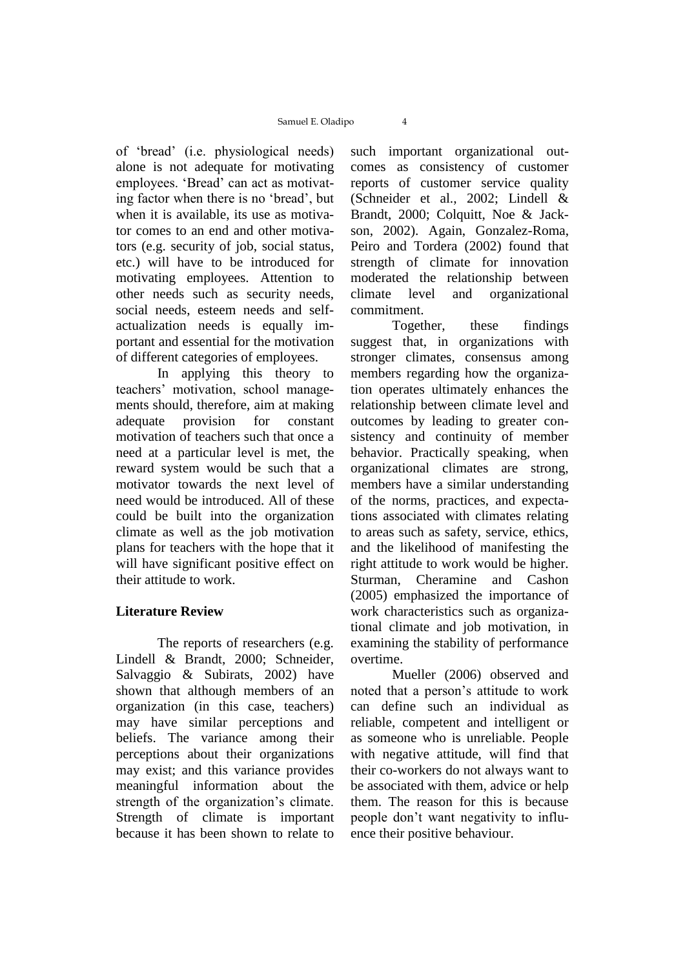of 'bread' (i.e. physiological needs) alone is not adequate for motivating employees. 'Bread' can act as motivating factor when there is no 'bread', but when it is available, its use as motivator comes to an end and other motivators (e.g. security of job, social status, etc.) will have to be introduced for motivating employees. Attention to other needs such as security needs, social needs, esteem needs and selfactualization needs is equally important and essential for the motivation of different categories of employees.

In applying this theory to teachers' motivation, school managements should, therefore, aim at making adequate provision for constant motivation of teachers such that once a need at a particular level is met, the reward system would be such that a motivator towards the next level of need would be introduced. All of these could be built into the organization climate as well as the job motivation plans for teachers with the hope that it will have significant positive effect on their attitude to work.

# **Literature Review**

The reports of researchers (e.g. Lindell & Brandt, 2000; Schneider, Salvaggio & Subirats, 2002) have shown that although members of an organization (in this case, teachers) may have similar perceptions and beliefs. The variance among their perceptions about their organizations may exist; and this variance provides meaningful information about the strength of the organization's climate. Strength of climate is important because it has been shown to relate to

such important organizational outcomes as consistency of customer reports of customer service quality (Schneider et al., 2002; Lindell & Brandt, 2000; Colquitt, Noe & Jackson, 2002). Again, Gonzalez-Roma, Peiro and Tordera (2002) found that strength of climate for innovation moderated the relationship between climate level and organizational commitment.

Together, these findings suggest that, in organizations with stronger climates, consensus among members regarding how the organization operates ultimately enhances the relationship between climate level and outcomes by leading to greater consistency and continuity of member behavior. Practically speaking, when organizational climates are strong, members have a similar understanding of the norms, practices, and expectations associated with climates relating to areas such as safety, service, ethics, and the likelihood of manifesting the right attitude to work would be higher. Sturman, Cheramine and Cashon (2005) emphasized the importance of work characteristics such as organizational climate and job motivation, in examining the stability of performance overtime.

Mueller (2006) observed and noted that a person's attitude to work can define such an individual as reliable, competent and intelligent or as someone who is unreliable. People with negative attitude, will find that their co-workers do not always want to be associated with them, advice or help them. The reason for this is because people don't want negativity to influence their positive behaviour.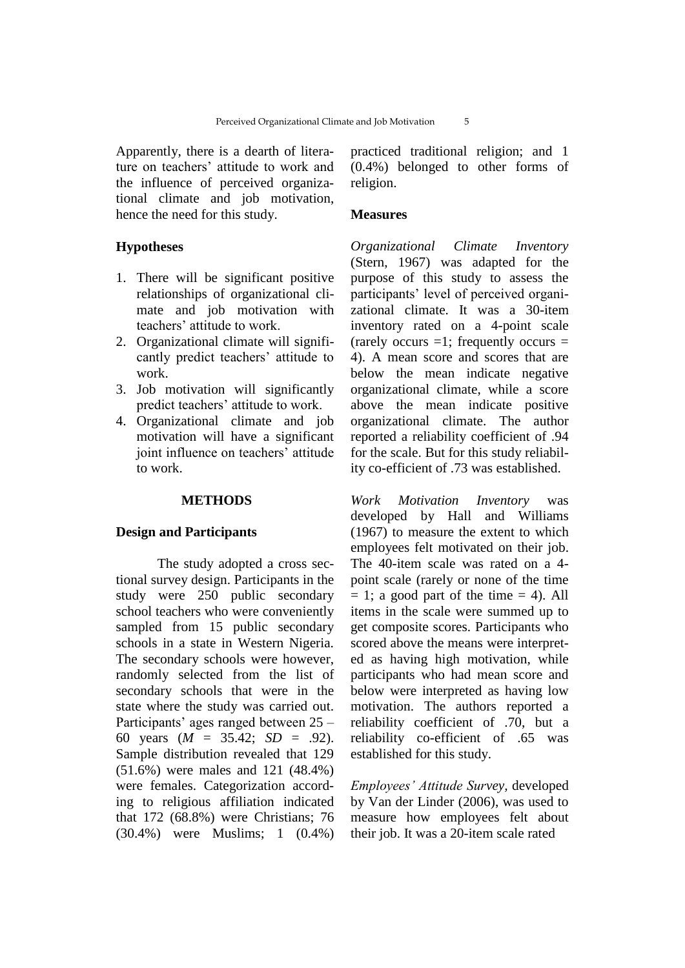Apparently, there is a dearth of literature on teachers' attitude to work and the influence of perceived organizational climate and job motivation, hence the need for this study.

## **Hypotheses**

- 1. There will be significant positive relationships of organizational climate and job motivation with teachers' attitude to work.
- 2. Organizational climate will significantly predict teachers' attitude to work.
- 3. Job motivation will significantly predict teachers' attitude to work.
- 4. Organizational climate and job motivation will have a significant joint influence on teachers' attitude to work.

## **METHODS**

#### **Design and Participants**

The study adopted a cross sectional survey design. Participants in the study were 250 public secondary school teachers who were conveniently sampled from 15 public secondary schools in a state in Western Nigeria. The secondary schools were however, randomly selected from the list of secondary schools that were in the state where the study was carried out. Participants' ages ranged between 25 – 60 years (*M* = 35.42; *SD* = .92). Sample distribution revealed that 129 (51.6%) were males and 121 (48.4%) were females. Categorization according to religious affiliation indicated that 172 (68.8%) were Christians; 76 (30.4%) were Muslims; 1 (0.4%)

practiced traditional religion; and 1 (0.4%) belonged to other forms of religion.

## **Measures**

*Organizational Climate Inventory* (Stern, 1967) was adapted for the purpose of this study to assess the participants' level of perceived organizational climate. It was a 30-item inventory rated on a 4-point scale (rarely occurs  $=1$ ; frequently occurs  $=$ 4). A mean score and scores that are below the mean indicate negative organizational climate, while a score above the mean indicate positive organizational climate. The author reported a reliability coefficient of .94 for the scale. But for this study reliability co-efficient of .73 was established.

*Work Motivation Inventory* was developed by Hall and Williams (1967) to measure the extent to which employees felt motivated on their job. The 40-item scale was rated on a 4 point scale (rarely or none of the time  $= 1$ ; a good part of the time  $= 4$ ). All items in the scale were summed up to get composite scores. Participants who scored above the means were interpreted as having high motivation, while participants who had mean score and below were interpreted as having low motivation. The authors reported a reliability coefficient of .70, but a reliability co-efficient of .65 was established for this study.

*Employees' Attitude Survey,* developed by Van der Linder (2006), was used to measure how employees felt about their job. It was a 20-item scale rated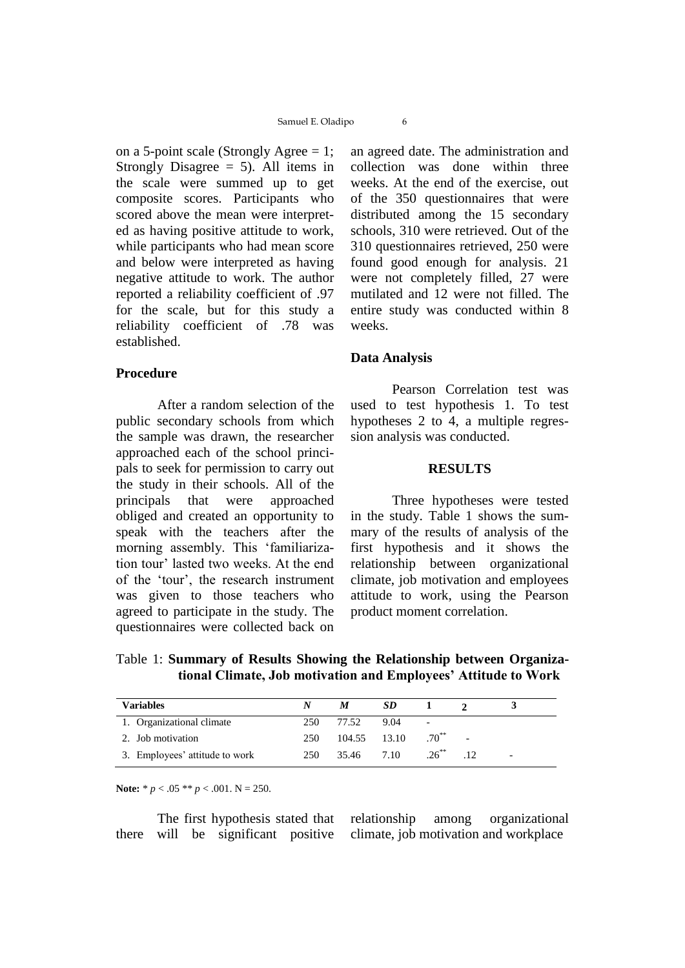on a 5-point scale (Strongly Agree = 1; Strongly Disagree  $= 5$ ). All items in the scale were summed up to get composite scores. Participants who scored above the mean were interpreted as having positive attitude to work, while participants who had mean score and below were interpreted as having negative attitude to work. The author reported a reliability coefficient of .97 for the scale, but for this study a reliability coefficient of .78 was established.

#### **Procedure**

After a random selection of the public secondary schools from which the sample was drawn, the researcher approached each of the school principals to seek for permission to carry out the study in their schools. All of the principals that were approached obliged and created an opportunity to speak with the teachers after the morning assembly. This 'familiarization tour' lasted two weeks. At the end of the 'tour', the research instrument was given to those teachers who agreed to participate in the study. The questionnaires were collected back on

an agreed date. The administration and collection was done within three weeks. At the end of the exercise, out of the 350 questionnaires that were distributed among the 15 secondary schools, 310 were retrieved. Out of the 310 questionnaires retrieved, 250 were found good enough for analysis. 21 were not completely filled, 27 were mutilated and 12 were not filled. The entire study was conducted within 8 weeks.

## **Data Analysis**

Pearson Correlation test was used to test hypothesis 1. To test hypotheses 2 to 4, a multiple regression analysis was conducted.

#### **RESULTS**

Three hypotheses were tested in the study. Table 1 shows the summary of the results of analysis of the first hypothesis and it shows the relationship between organizational climate, job motivation and employees attitude to work, using the Pearson product moment correlation.

Table 1: **Summary of Results Showing the Relationship between Organizational Climate, Job motivation and Employees' Attitude to Work**

| <b>Variables</b>               | N    | M            | <b>SD</b> |                          |   |
|--------------------------------|------|--------------|-----------|--------------------------|---|
| 1. Organizational climate      | 250. | 77.52        | 9.04      | $\overline{\phantom{a}}$ |   |
| 2. Job motivation              | 250  | 104.55 13.10 |           | $.70^{**}$               |   |
| 3. Employees' attitude to work | 250  | 35.46 7.10   |           | $.26^{**}$               | - |

**Note:**  $* p < .05 ** p < .001$ . N = 250.

The first hypothesis stated that there will be significant positive relationship among organizational climate, job motivation and workplace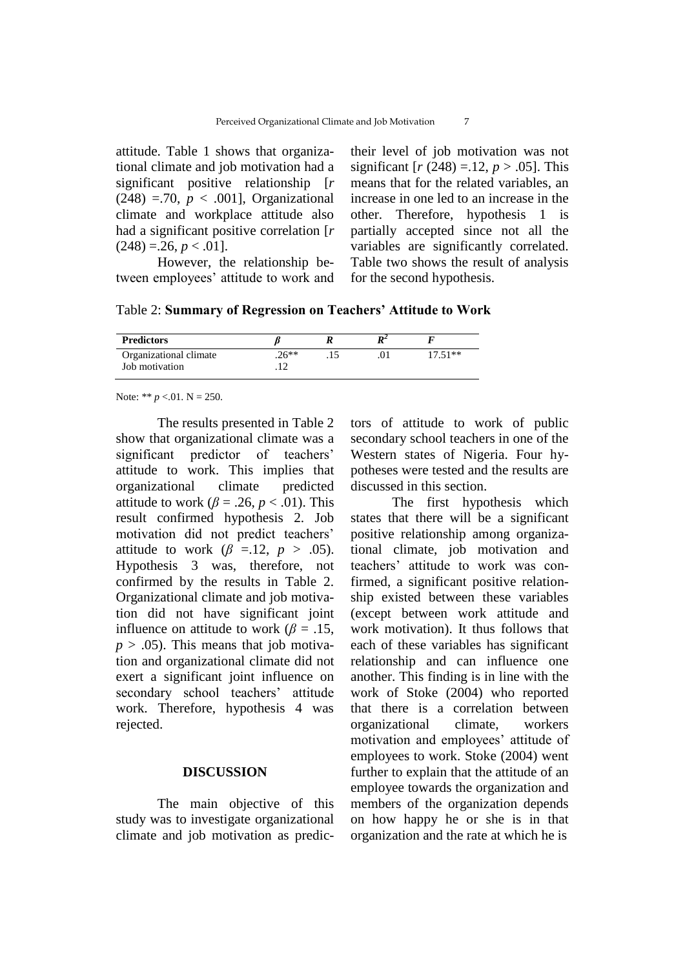attitude. Table 1 shows that organizational climate and job motivation had a significant positive relationship [*r*  $(248) = 70, p < .001$ , Organizational climate and workplace attitude also had a significant positive correlation [*r*  $(248) = 26, p < 0.01$ .

However, the relationship between employees' attitude to work and

their level of job motivation was not significant [*r* (248) =.12, *p* > .05]. This means that for the related variables, an increase in one led to an increase in the other. Therefore, hypothesis 1 is partially accepted since not all the variables are significantly correlated. Table two shows the result of analysis for the second hypothesis.

| <b>Predictors</b>      |        | D. |          |
|------------------------|--------|----|----------|
| Organizational climate | $26**$ |    | $1751**$ |
| Job motivation         |        |    |          |

Note: \*\*  $p < 01$ . N = 250.

The results presented in Table 2 show that organizational climate was a significant predictor of teachers' attitude to work. This implies that organizational climate predicted attitude to work ( $\beta$  = .26, *p* < .01). This result confirmed hypothesis 2. Job motivation did not predict teachers' attitude to work  $(\beta = 12, p > .05)$ . Hypothesis 3 was, therefore, not confirmed by the results in Table 2. Organizational climate and job motivation did not have significant joint influence on attitude to work ( $\beta = .15$ ,  $p > .05$ ). This means that job motivation and organizational climate did not exert a significant joint influence on secondary school teachers' attitude work. Therefore, hypothesis 4 was rejected.

## **DISCUSSION**

The main objective of this study was to investigate organizational climate and job motivation as predictors of attitude to work of public secondary school teachers in one of the Western states of Nigeria. Four hypotheses were tested and the results are discussed in this section.

The first hypothesis which states that there will be a significant positive relationship among organizational climate, job motivation and teachers' attitude to work was confirmed, a significant positive relationship existed between these variables (except between work attitude and work motivation). It thus follows that each of these variables has significant relationship and can influence one another. This finding is in line with the work of Stoke (2004) who reported that there is a correlation between organizational climate, workers motivation and employees' attitude of employees to work. Stoke (2004) went further to explain that the attitude of an employee towards the organization and members of the organization depends on how happy he or she is in that organization and the rate at which he is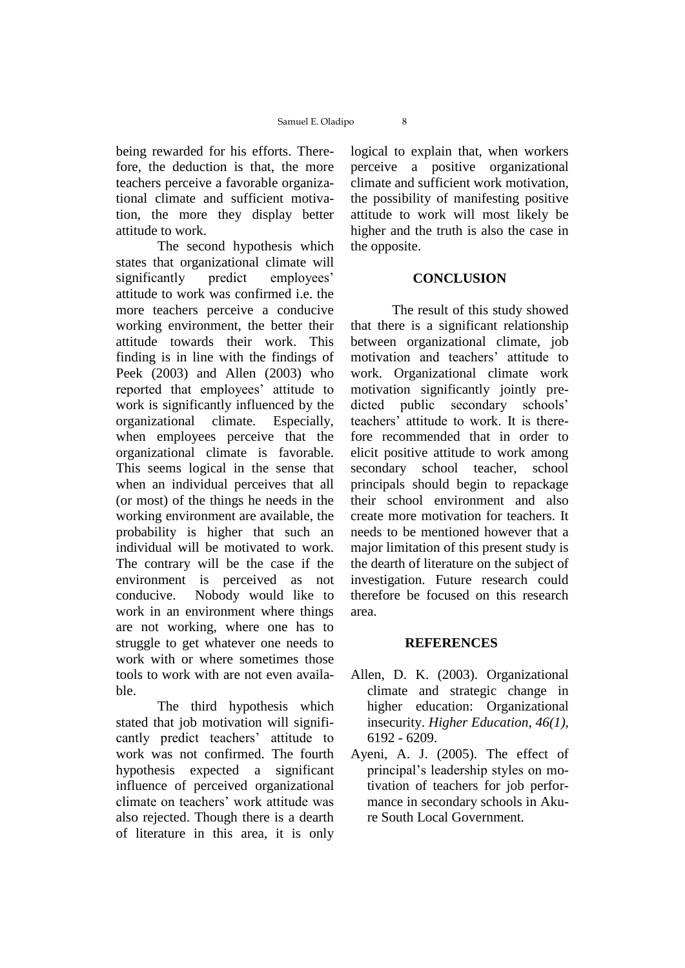being rewarded for his efforts. Therefore, the deduction is that, the more teachers perceive a favorable organizational climate and sufficient motivation, the more they display better attitude to work.

The second hypothesis which states that organizational climate will significantly predict employees' attitude to work was confirmed i.e. the more teachers perceive a conducive working environment, the better their attitude towards their work. This finding is in line with the findings of Peek (2003) and Allen (2003) who reported that employees' attitude to work is significantly influenced by the organizational climate. Especially, when employees perceive that the organizational climate is favorable. This seems logical in the sense that when an individual perceives that all (or most) of the things he needs in the working environment are available, the probability is higher that such an individual will be motivated to work. The contrary will be the case if the environment is perceived as not conducive. Nobody would like to work in an environment where things are not working, where one has to struggle to get whatever one needs to work with or where sometimes those tools to work with are not even available.

The third hypothesis which stated that job motivation will significantly predict teachers' attitude to work was not confirmed. The fourth hypothesis expected a significant influence of perceived organizational climate on teachers' work attitude was also rejected. Though there is a dearth of literature in this area, it is only

logical to explain that, when workers perceive a positive organizational climate and sufficient work motivation, the possibility of manifesting positive attitude to work will most likely be higher and the truth is also the case in the opposite.

#### **CONCLUSION**

The result of this study showed that there is a significant relationship between organizational climate, job motivation and teachers' attitude to work. Organizational climate work motivation significantly jointly predicted public secondary schools' teachers' attitude to work. It is therefore recommended that in order to elicit positive attitude to work among secondary school teacher, school principals should begin to repackage their school environment and also create more motivation for teachers. It needs to be mentioned however that a major limitation of this present study is the dearth of literature on the subject of investigation. Future research could therefore be focused on this research area.

#### **REFERENCES**

- Allen, D. K. (2003). Organizational climate and strategic change in higher education: Organizational insecurity. *Higher Education*, *46(1),* 6192 - 6209.
- Ayeni, A. J. (2005). The effect of principal's leadership styles on motivation of teachers for job performance in secondary schools in Akure South Local Government.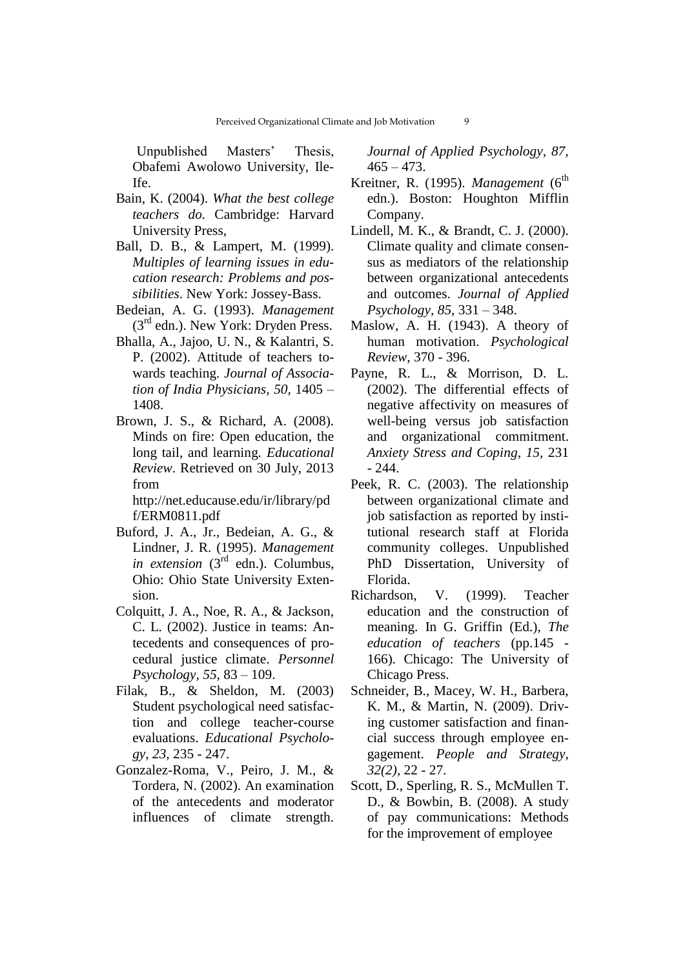Unpublished Masters' Thesis, Obafemi Awolowo University, Ile-Ife.

- Bain, K. (2004). *What the best college teachers do.* Cambridge: Harvard University Press,
- Ball, D. B., & Lampert, M. (1999). *Multiples of learning issues in education research: Problems and possibilities*. New York: Jossey-Bass.
- Bedeian, A. G. (1993). *Management*  $(3<sup>rd</sup>$  edn.). New York: Dryden Press.
- Bhalla, A., Jajoo, U. N., & Kalantri, S. P. (2002). Attitude of teachers towards teaching. *Journal of Association of India Physicians*, *50,* 1405 – 1408.
- Brown, J. S., & Richard, A. (2008). Minds on fire: Open education, the long tail, and learning. *Educational Review*. Retrieved on 30 July, 2013 from

http://net.educause.edu/ir/library/pd f/ERM0811.pdf

- Buford, J. A., Jr., Bedeian, A. G., & Lindner, J. R. (1995). *Management in extension* (3<sup>rd</sup> edn.). Columbus, Ohio: Ohio State University Extension.
- Colquitt, J. A., Noe, R. A., & Jackson, C. L. (2002). Justice in teams: Antecedents and consequences of procedural justice climate. *Personnel Psychology, 55,* 83 – 109.
- Filak, B., & Sheldon, M. (2003) Student psychological need satisfaction and college teacher-course evaluations. *Educational Psychology*, *23,* 235 - 247.
- Gonzalez-Roma, V., Peiro, J. M., & Tordera, N. (2002). An examination of the antecedents and moderator influences of climate strength.

*Journal of Applied Psychology, 87,*   $465 - 473$ .

- Kreitner, R. (1995). *Management* (6<sup>th</sup> edn.). Boston: Houghton Mifflin Company.
- Lindell, M. K., & Brandt, C. J. (2000). Climate quality and climate consensus as mediators of the relationship between organizational antecedents and outcomes. *Journal of Applied Psychology, 85,* 331 – 348.
- Maslow, A. H. (1943). A theory of human motivation. *Psychological Review*, 370 - 396.
- Payne, R. L., & Morrison, D. L. (2002). The differential effects of negative affectivity on measures of well-being versus job satisfaction and organizational commitment. *Anxiety Stress and Coping*, *15,* 231 - 244.
- Peek, R. C. (2003). The relationship between organizational climate and job satisfaction as reported by institutional research staff at Florida community colleges. Unpublished PhD Dissertation, University of Florida.
- Richardson, V. (1999). Teacher education and the construction of meaning. In G. Griffin (Ed.), *The education of teachers* (pp.145 - 166). Chicago: The University of Chicago Press.
- Schneider, B., Macey, W. H., Barbera, K. M., & Martin, N. (2009). Driving customer satisfaction and financial success through employee engagement. *People and Strategy, 32(2)*, 22 - 27.
- Scott, D., Sperling, R. S., McMullen T. D., & Bowbin, B. (2008). A study of pay communications: Methods for the improvement of employee